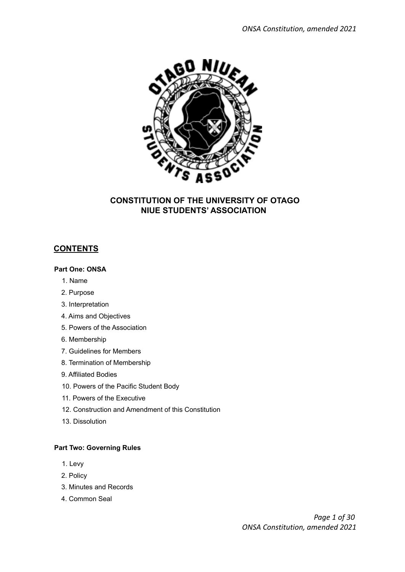

#### **CONSTITUTION OF THE UNIVERSITY OF OTAGO NIUE STUDENTS' ASSOCIATION**

#### **CONTENTS**

#### **Part One: ONSA**

- 1. Name
- 2. Purpose
- 3. Interpretation
- 4. Aims and Objectives
- 5. Powers of the Association
- 6. Membership
- 7. Guidelines for Members
- 8. Termination of Membership
- 9. Affiliated Bodies
- 10. Powers of the Pacific Student Body
- 11. Powers of the Executive
- 12. Construction and Amendment of this Constitution
- 13. Dissolution

#### **Part Two: Governing Rules**

- 1. Levy
- 2. Policy
- 3. Minutes and Records
- 4. Common Seal

*Page 1 of 30 ONSA Constitution, amended 2021*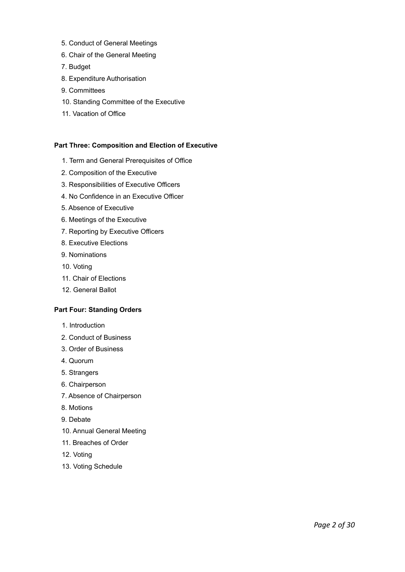- 5. Conduct of General Meetings
- 6. Chair of the General Meeting
- 7. Budget
- 8. Expenditure Authorisation
- 9. Committees
- 10. Standing Committee of the Executive
- 11. Vacation of Office

#### **Part Three: Composition and Election of Executive**

- 1. Term and General Prerequisites of Office
- 2. Composition of the Executive
- 3. Responsibilities of Executive Officers
- 4. No Confidence in an Executive Officer
- 5. Absence of Executive
- 6. Meetings of the Executive
- 7. Reporting by Executive Officers
- 8. Executive Elections
- 9. Nominations
- 10. Voting
- 11. Chair of Elections
- 12. General Ballot

#### **Part Four: Standing Orders**

- 1. Introduction
- 2. Conduct of Business
- 3. Order of Business
- 4. Quorum
- 5. Strangers
- 6. Chairperson
- 7. Absence of Chairperson
- 8. Motions
- 9. Debate
- 10. Annual General Meeting
- 11. Breaches of Order
- 12. Voting
- 13. Voting Schedule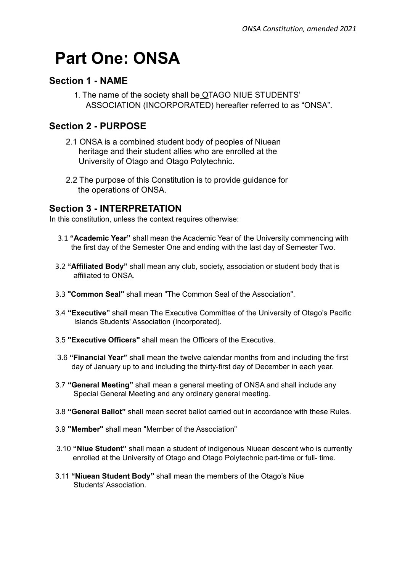# **Part One: ONSA**

#### **Section 1 - NAME**

1. The name of the society shall be OTAGO NIUE STUDENTS' ASSOCIATION (INCORPORATED) hereafter referred to as "ONSA".

# **Section 2 - PURPOSE**

- 2.1 ONSA is a combined student body of peoples of Niuean heritage and their student allies who are enrolled at the University of Otago and Otago Polytechnic.
- 2.2 The purpose of this Constitution is to provide guidance for the operations of ONSA.

#### **Section 3 - INTERPRETATION**

In this constitution, unless the context requires otherwise:

- 3.1 **"Academic Year"** shall mean the Academic Year of the University commencing with the first day of the Semester One and ending with the last day of Semester Two.
- 3.2 **"Affiliated Body"** shall mean any club, society, association or student body that is affiliated to ONSA.
- 3.3 **"Common Seal"** shall mean "The Common Seal of the Association".
- 3.4 **"Executive"** shall mean The Executive Committee of the University of Otago's Pacific Islands Students' Association (Incorporated).
- 3.5 **"Executive Officers"** shall mean the Officers of the Executive.
- 3.6 **"Financial Year"** shall mean the twelve calendar months from and including the first day of January up to and including the thirty-first day of December in each year.
- 3.7 **"General Meeting"** shall mean a general meeting of ONSA and shall include any Special General Meeting and any ordinary general meeting.
- 3.8 **"General Ballot"** shall mean secret ballot carried out in accordance with these Rules.
- 3.9 **"Member"** shall mean "Member of the Association"
- 3.10 **"Niue Student"** shall mean a student of indigenous Niuean descent who is currently enrolled at the University of Otago and Otago Polytechnic part-time or full- time.
- 3.11 **"Niuean Student Body"** shall mean the members of the Otago's Niue Students' Association.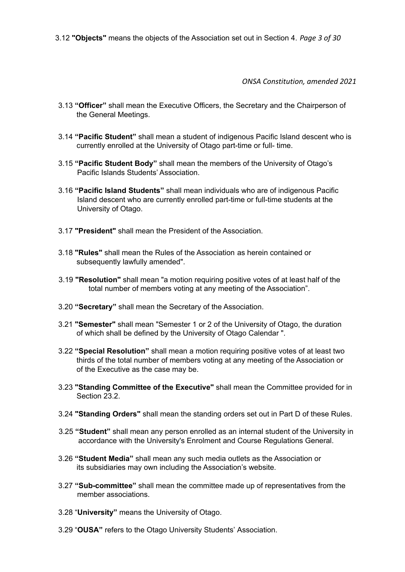3.12 **"Objects"** means the objects of the Association set out in Section 4. *Page 3 of 30*

*ONSA Constitution, amended 2021*

- 3.13 **"Officer"** shall mean the Executive Officers, the Secretary and the Chairperson of the General Meetings.
- 3.14 **"Pacific Student"** shall mean a student of indigenous Pacific Island descent who is currently enrolled at the University of Otago part-time or full- time.
- 3.15 **"Pacific Student Body"** shall mean the members of the University of Otago's Pacific Islands Students' Association.
- 3.16 **"Pacific Island Students"** shall mean individuals who are of indigenous Pacific Island descent who are currently enrolled part-time or full-time students at the University of Otago.
- 3.17 **"President"** shall mean the President of the Association.
- 3.18 **"Rules"** shall mean the Rules of the Association as herein contained or subsequently lawfully amended".
- 3.19 **"Resolution"** shall mean "a motion requiring positive votes of at least half of the total number of members voting at any meeting of the Association".
- 3.20 **"Secretary"** shall mean the Secretary of the Association.
- 3.21 **"Semester"** shall mean "Semester 1 or 2 of the University of Otago, the duration of which shall be defined by the University of Otago Calendar ".
- 3.22 **"Special Resolution"** shall mean a motion requiring positive votes of at least two thirds of the total number of members voting at any meeting of the Association or of the Executive as the case may be.
- 3.23 **"Standing Committee of the Executive"** shall mean the Committee provided for in Section 23.2.
- 3.24 **"Standing Orders"** shall mean the standing orders set out in Part D of these Rules.
- 3.25 **"Student"** shall mean any person enrolled as an internal student of the University in accordance with the University's Enrolment and Course Regulations General.
- 3.26 **"Student Media"** shall mean any such media outlets as the Association or its subsidiaries may own including the Association's website.
- 3.27 **"Sub-committee"** shall mean the committee made up of representatives from the member associations.
- 3.28 "**University"** means the University of Otago.
- 3.29 "**OUSA"** refers to the Otago University Students' Association.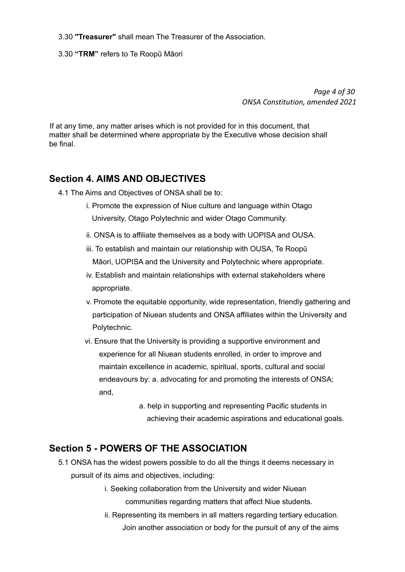- 3.30 **"Treasurer"** shall mean The Treasurer of the Association.
- 3.30 **"TRM"** refers to Te Roopū Māori

*Page 4 of 30 ONSA Constitution, amended 2021*

If at any time, any matter arises which is not provided for in this document, that matter shall be determined where appropriate by the Executive whose decision shall be final.

#### **Section 4. AIMS AND OBJECTIVES**

- 4.1 The Aims and Objectives of ONSA shall be to:
	- i. Promote the expression of Niue culture and language within Otago University, Otago Polytechnic and wider Otago Community.
	- ii. ONSA is to affiliate themselves as a body with UOPISA and OUSA.
	- iii. To establish and maintain our relationship with OUSA, Te Roopū Māori, UOPISA and the University and Polytechnic where appropriate.
	- iv. Establish and maintain relationships with external stakeholders where appropriate.
	- v. Promote the equitable opportunity, wide representation, friendly gathering and participation of Niuean students and ONSA affiliates within the University and Polytechnic.
	- vi. Ensure that the University is providing a supportive environment and experience for all Niuean students enrolled, in order to improve and maintain excellence in academic, spiritual, sports, cultural and social endeavours by: a. advocating for and promoting the interests of ONSA; and,
		- a. help in supporting and representing Pacific students in achieving their academic aspirations and educational goals.

#### **Section 5 - POWERS OF THE ASSOCIATION**

- 5.1 ONSA has the widest powers possible to do all the things it deems necessary in pursuit of its aims and objectives, including:
	- i. Seeking collaboration from the University and wider Niuean communities regarding matters that affect Niue students.
	- ii. Representing its members in all matters regarding tertiary education. Join another association or body for the pursuit of any of the aims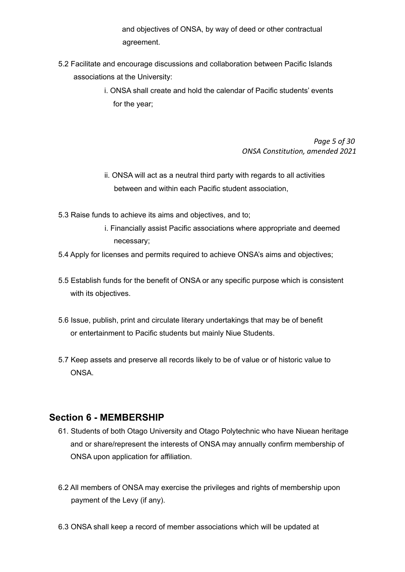and objectives of ONSA, by way of deed or other contractual agreement.

- 5.2 Facilitate and encourage discussions and collaboration between Pacific Islands associations at the University:
	- i. ONSA shall create and hold the calendar of Pacific students' events for the year;

*Page 5 of 30 ONSA Constitution, amended 2021*

- ii. ONSA will act as a neutral third party with regards to all activities between and within each Pacific student association,
- 5.3 Raise funds to achieve its aims and objectives, and to;
	- i. Financially assist Pacific associations where appropriate and deemed necessary;
- 5.4 Apply for licenses and permits required to achieve ONSA's aims and objectives;
- 5.5 Establish funds for the benefit of ONSA or any specific purpose which is consistent with its objectives.
- 5.6 Issue, publish, print and circulate literary undertakings that may be of benefit or entertainment to Pacific students but mainly Niue Students.
- 5.7 Keep assets and preserve all records likely to be of value or of historic value to ONSA.

#### **Section 6 - MEMBERSHIP**

- 61. Students of both Otago University and Otago Polytechnic who have Niuean heritage and or share/represent the interests of ONSA may annually confirm membership of ONSA upon application for affiliation.
- 6.2 All members of ONSA may exercise the privileges and rights of membership upon payment of the Levy (if any).
- 6.3 ONSA shall keep a record of member associations which will be updated at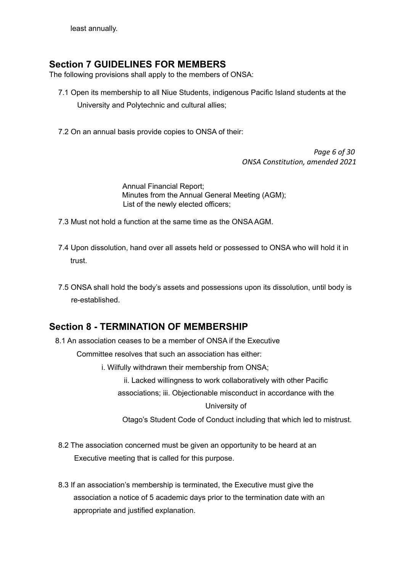least annually.

#### **Section 7 GUIDELINES FOR MEMBERS**

The following provisions shall apply to the members of ONSA:

- 7.1 Open its membership to all Niue Students, indigenous Pacific Island students at the University and Polytechnic and cultural allies;
- 7.2 On an annual basis provide copies to ONSA of their:

*Page 6 of 30 ONSA Constitution, amended 2021*

Annual Financial Report; Minutes from the Annual General Meeting (AGM); List of the newly elected officers;

- 7.3 Must not hold a function at the same time as the ONSA AGM.
- 7.4 Upon dissolution, hand over all assets held or possessed to ONSA who will hold it in trust.
- 7.5 ONSA shall hold the body's assets and possessions upon its dissolution, until body is re-established.

# **Section 8 - TERMINATION OF MEMBERSHIP**

8.1 An association ceases to be a member of ONSA if the Executive

Committee resolves that such an association has either:

i. Wilfully withdrawn their membership from ONSA;

ii. Lacked willingness to work collaboratively with other Pacific

associations; iii. Objectionable misconduct in accordance with the

University of

Otago's Student Code of Conduct including that which led to mistrust.

- 8.2 The association concerned must be given an opportunity to be heard at an Executive meeting that is called for this purpose.
- 8.3 If an association's membership is terminated, the Executive must give the association a notice of 5 academic days prior to the termination date with an appropriate and justified explanation.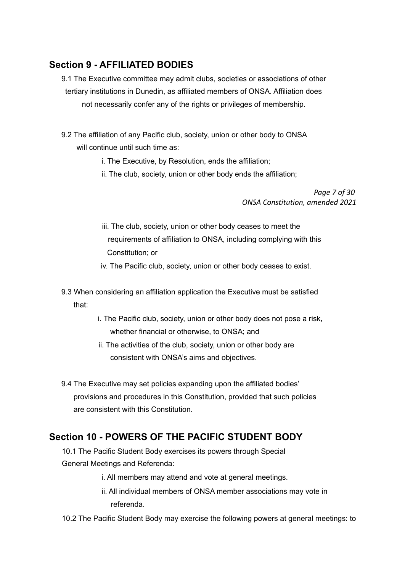# **Section 9 - AFFILIATED BODIES**

- 9.1 The Executive committee may admit clubs, societies or associations of other tertiary institutions in Dunedin, as affiliated members of ONSA. Affiliation does not necessarily confer any of the rights or privileges of membership.
- 9.2 The affiliation of any Pacific club, society, union or other body to ONSA will continue until such time as:
	- i. The Executive, by Resolution, ends the affiliation;
	- ii. The club, society, union or other body ends the affiliation;

*Page 7 of 30 ONSA Constitution, amended 2021*

- iii. The club, society, union or other body ceases to meet the requirements of affiliation to ONSA, including complying with this Constitution; or
- iv. The Pacific club, society, union or other body ceases to exist.
- 9.3 When considering an affiliation application the Executive must be satisfied that:
	- i. The Pacific club, society, union or other body does not pose a risk, whether financial or otherwise, to ONSA; and
	- ii. The activities of the club, society, union or other body are consistent with ONSA's aims and objectives.
- 9.4 The Executive may set policies expanding upon the affiliated bodies' provisions and procedures in this Constitution, provided that such policies are consistent with this Constitution.

# **Section 10 - POWERS OF THE PACIFIC STUDENT BODY**

- 10.1 The Pacific Student Body exercises its powers through Special General Meetings and Referenda:
	- i. All members may attend and vote at general meetings.
	- ii. All individual members of ONSA member associations may vote in referenda.
- 10.2 The Pacific Student Body may exercise the following powers at general meetings: to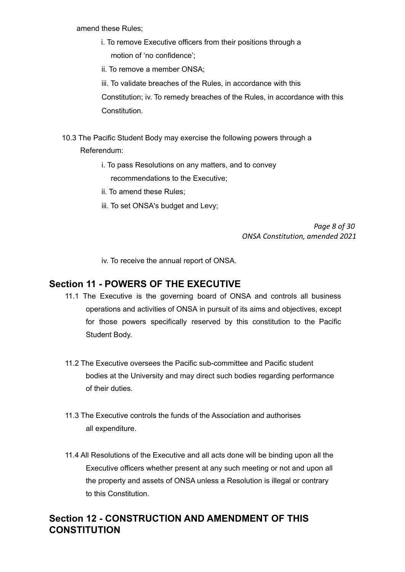amend these Rules;

- i. To remove Executive officers from their positions through a motion of 'no confidence';
- ii. To remove a member ONSA;

iii. To validate breaches of the Rules, in accordance with this Constitution; iv. To remedy breaches of the Rules, in accordance with this **Constitution** 

- 10.3 The Pacific Student Body may exercise the following powers through a Referendum:
	- i. To pass Resolutions on any matters, and to convey recommendations to the Executive;
	- ii. To amend these Rules;
	- iii. To set ONSA's budget and Levy;

*Page 8 of 30 ONSA Constitution, amended 2021*

iv. To receive the annual report of ONSA.

#### **Section 11 - POWERS OF THE EXECUTIVE**

- 11.1 The Executive is the governing board of ONSA and controls all business operations and activities of ONSA in pursuit of its aims and objectives, except for those powers specifically reserved by this constitution to the Pacific Student Body.
- 11.2 The Executive oversees the Pacific sub-committee and Pacific student bodies at the University and may direct such bodies regarding performance of their duties.
- 11.3 The Executive controls the funds of the Association and authorises all expenditure.
- 11.4 All Resolutions of the Executive and all acts done will be binding upon all the Executive officers whether present at any such meeting or not and upon all the property and assets of ONSA unless a Resolution is illegal or contrary to this Constitution.

#### **Section 12 - CONSTRUCTION AND AMENDMENT OF THIS CONSTITUTION**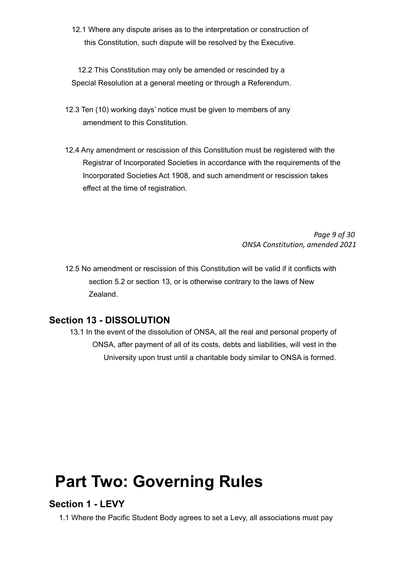12.1 Where any dispute arises as to the interpretation or construction of this Constitution, such dispute will be resolved by the Executive.

12.2 This Constitution may only be amended or rescinded by a Special Resolution at a general meeting or through a Referendum.

- 12.3 Ten (10) working days' notice must be given to members of any amendment to this Constitution.
- 12.4 Any amendment or rescission of this Constitution must be registered with the Registrar of Incorporated Societies in accordance with the requirements of the Incorporated Societies Act 1908, and such amendment or rescission takes effect at the time of registration.

*Page 9 of 30 ONSA Constitution, amended 2021*

12.5 No amendment or rescission of this Constitution will be valid if it conflicts with section 5.2 or section 13, or is otherwise contrary to the laws of New Zealand.

#### **Section 13 - DISSOLUTION**

13.1 In the event of the dissolution of ONSA, all the real and personal property of ONSA, after payment of all of its costs, debts and liabilities, will vest in the University upon trust until a charitable body similar to ONSA is formed.

# **Part Two: Governing Rules**

#### **Section 1 - LEVY**

1.1 Where the Pacific Student Body agrees to set a Levy, all associations must pay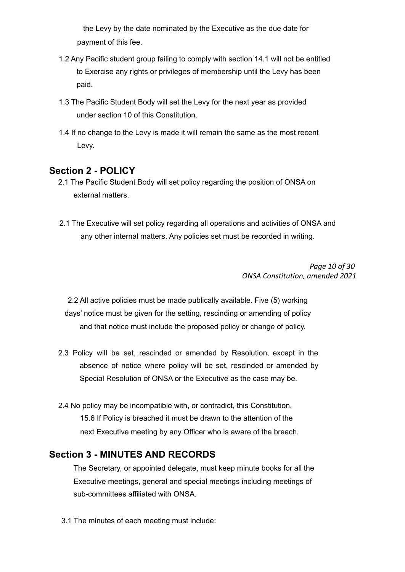the Levy by the date nominated by the Executive as the due date for payment of this fee.

- 1.2 Any Pacific student group failing to comply with section 14.1 will not be entitled to Exercise any rights or privileges of membership until the Levy has been paid.
- 1.3 The Pacific Student Body will set the Levy for the next year as provided under section 10 of this Constitution.
- 1.4 If no change to the Levy is made it will remain the same as the most recent Levy.

#### **Section 2 - POLICY**

- 2.1 The Pacific Student Body will set policy regarding the position of ONSA on external matters.
- 2.1 The Executive will set policy regarding all operations and activities of ONSA and any other internal matters. Any policies set must be recorded in writing.

*Page 10 of 30 ONSA Constitution, amended 2021*

2.2 All active policies must be made publically available. Five (5) working days' notice must be given for the setting, rescinding or amending of policy and that notice must include the proposed policy or change of policy.

- 2.3 Policy will be set, rescinded or amended by Resolution, except in the absence of notice where policy will be set, rescinded or amended by Special Resolution of ONSA or the Executive as the case may be.
- 2.4 No policy may be incompatible with, or contradict, this Constitution. 15.6 If Policy is breached it must be drawn to the attention of the next Executive meeting by any Officer who is aware of the breach.

#### **Section 3 - MINUTES AND RECORDS**

The Secretary, or appointed delegate, must keep minute books for all the Executive meetings, general and special meetings including meetings of sub-committees affiliated with ONSA.

3.1 The minutes of each meeting must include: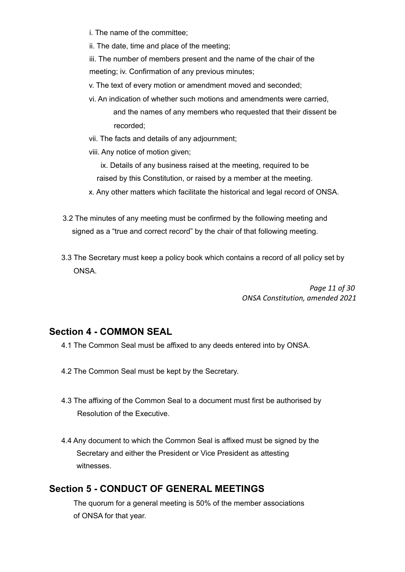i. The name of the committee;

ii. The date, time and place of the meeting;

iii. The number of members present and the name of the chair of the meeting; iv. Confirmation of any previous minutes;

- v. The text of every motion or amendment moved and seconded;
- vi. An indication of whether such motions and amendments were carried, and the names of any members who requested that their dissent be recorded;
- vii. The facts and details of any adjournment;
- viii. Any notice of motion given;

ix. Details of any business raised at the meeting, required to be

- raised by this Constitution, or raised by a member at the meeting.
- x. Any other matters which facilitate the historical and legal record of ONSA.
- 3.2 The minutes of any meeting must be confirmed by the following meeting and signed as a "true and correct record" by the chair of that following meeting.
- 3.3 The Secretary must keep a policy book which contains a record of all policy set by ONSA.

*Page 11 of 30 ONSA Constitution, amended 2021*

#### **Section 4 - COMMON SEAL**

- 4.1 The Common Seal must be affixed to any deeds entered into by ONSA.
- 4.2 The Common Seal must be kept by the Secretary.
- 4.3 The affixing of the Common Seal to a document must first be authorised by Resolution of the Executive.
- 4.4 Any document to which the Common Seal is affixed must be signed by the Secretary and either the President or Vice President as attesting witnesses.

#### **Section 5 - CONDUCT OF GENERAL MEETINGS**

The quorum for a general meeting is 50% of the member associations of ONSA for that year.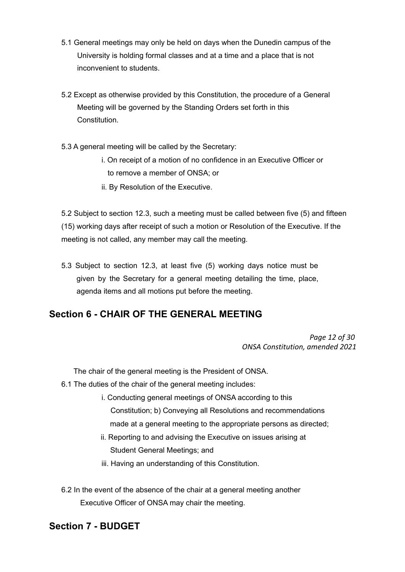- 5.1 General meetings may only be held on days when the Dunedin campus of the University is holding formal classes and at a time and a place that is not inconvenient to students.
- 5.2 Except as otherwise provided by this Constitution, the procedure of a General Meeting will be governed by the Standing Orders set forth in this **Constitution**
- 5.3 A general meeting will be called by the Secretary:
	- i. On receipt of a motion of no confidence in an Executive Officer or to remove a member of ONSA; or
	- ii. By Resolution of the Executive.

5.2 Subject to section 12.3, such a meeting must be called between five (5) and fifteen (15) working days after receipt of such a motion or Resolution of the Executive. If the meeting is not called, any member may call the meeting.

5.3 Subject to section 12.3, at least five (5) working days notice must be given by the Secretary for a general meeting detailing the time, place, agenda items and all motions put before the meeting.

# **Section 6 - CHAIR OF THE GENERAL MEETING**

*Page 12 of 30 ONSA Constitution, amended 2021*

The chair of the general meeting is the President of ONSA.

- 6.1 The duties of the chair of the general meeting includes:
	- i. Conducting general meetings of ONSA according to this Constitution; b) Conveying all Resolutions and recommendations made at a general meeting to the appropriate persons as directed;
	- ii. Reporting to and advising the Executive on issues arising at Student General Meetings; and
	- iii. Having an understanding of this Constitution.
- 6.2 In the event of the absence of the chair at a general meeting another Executive Officer of ONSA may chair the meeting.

#### **Section 7 - BUDGET**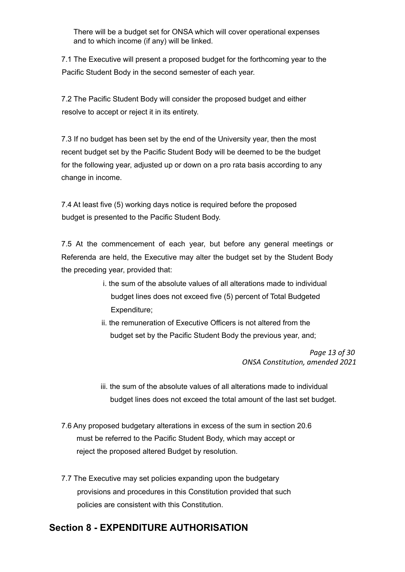There will be a budget set for ONSA which will cover operational expenses and to which income (if any) will be linked.

7.1 The Executive will present a proposed budget for the forthcoming year to the Pacific Student Body in the second semester of each year.

7.2 The Pacific Student Body will consider the proposed budget and either resolve to accept or reject it in its entirety.

7.3 If no budget has been set by the end of the University year, then the most recent budget set by the Pacific Student Body will be deemed to be the budget for the following year, adjusted up or down on a pro rata basis according to any change in income.

7.4 At least five (5) working days notice is required before the proposed budget is presented to the Pacific Student Body.

7.5 At the commencement of each year, but before any general meetings or Referenda are held, the Executive may alter the budget set by the Student Body the preceding year, provided that:

- i. the sum of the absolute values of all alterations made to individual budget lines does not exceed five (5) percent of Total Budgeted Expenditure;
- ii. the remuneration of Executive Officers is not altered from the budget set by the Pacific Student Body the previous year, and;

*Page 13 of 30 ONSA Constitution, amended 2021*

iii. the sum of the absolute values of all alterations made to individual budget lines does not exceed the total amount of the last set budget.

- 7.6 Any proposed budgetary alterations in excess of the sum in section 20.6 must be referred to the Pacific Student Body, which may accept or reject the proposed altered Budget by resolution.
- 7.7 The Executive may set policies expanding upon the budgetary provisions and procedures in this Constitution provided that such policies are consistent with this Constitution.

# **Section 8 - EXPENDITURE AUTHORISATION**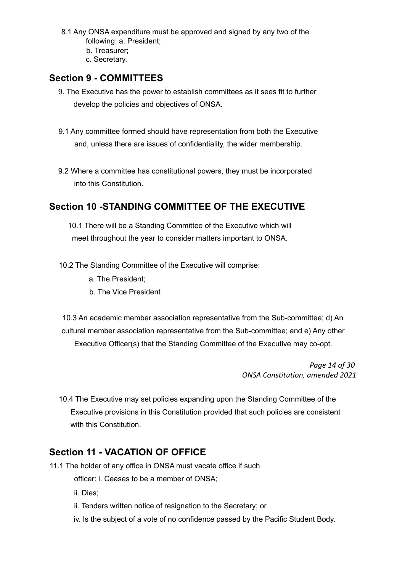- 8.1 Any ONSA expenditure must be approved and signed by any two of the following: a. President;
	- b. Treasurer;
	- c. Secretary.

### **Section 9 - COMMITTEES**

- 9. The Executive has the power to establish committees as it sees fit to further develop the policies and objectives of ONSA.
- 9.1 Any committee formed should have representation from both the Executive and, unless there are issues of confidentiality, the wider membership.
- 9.2 Where a committee has constitutional powers, they must be incorporated into this Constitution.

# **Section 10 -STANDING COMMITTEE OF THE EXECUTIVE**

10.1 There will be a Standing Committee of the Executive which will meet throughout the year to consider matters important to ONSA.

10.2 The Standing Committee of the Executive will comprise:

- a. The President;
- b. The Vice President

10.3 An academic member association representative from the Sub-committee; d) An cultural member association representative from the Sub-committee; and e) Any other Executive Officer(s) that the Standing Committee of the Executive may co-opt.

> *Page 14 of 30 ONSA Constitution, amended 2021*

10.4 The Executive may set policies expanding upon the Standing Committee of the Executive provisions in this Constitution provided that such policies are consistent with this Constitution.

# **Section 11 - VACATION OF OFFICE**

11.1 The holder of any office in ONSA must vacate office if such officer: i. Ceases to be a member of ONSA;

ii. Dies;

- ii. Tenders written notice of resignation to the Secretary; or
- iv. Is the subject of a vote of no confidence passed by the Pacific Student Body.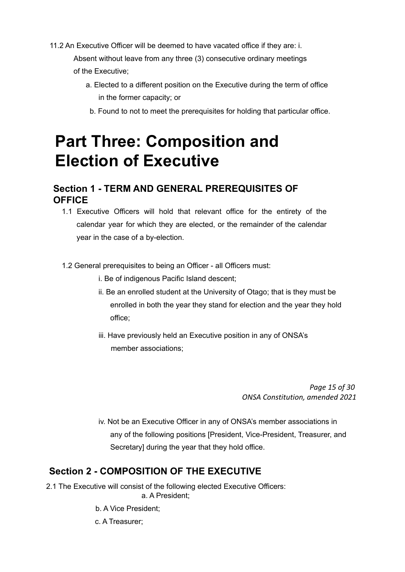11.2 An Executive Officer will be deemed to have vacated office if they are: i.

Absent without leave from any three (3) consecutive ordinary meetings of the Executive;

- a. Elected to a different position on the Executive during the term of office in the former capacity; or
	- b. Found to not to meet the prerequisites for holding that particular office.

# **Part Three: Composition and Election of Executive**

# **Section 1 - TERM AND GENERAL PREREQUISITES OF OFFICE**

- 1.1 Executive Officers will hold that relevant office for the entirety of the calendar year for which they are elected, or the remainder of the calendar year in the case of a by-election.
- 1.2 General prerequisites to being an Officer all Officers must:
	- i. Be of indigenous Pacific Island descent;
	- ii. Be an enrolled student at the University of Otago; that is they must be enrolled in both the year they stand for election and the year they hold office;
	- iii. Have previously held an Executive position in any of ONSA's member associations;

*Page 15 of 30 ONSA Constitution, amended 2021*

iv. Not be an Executive Officer in any of ONSA's member associations in any of the following positions [President, Vice-President, Treasurer, and Secretary] during the year that they hold office.

# **Section 2 - COMPOSITION OF THE EXECUTIVE**

- 2.1 The Executive will consist of the following elected Executive Officers: a. A President;
	- b. A Vice President;
	- c. A Treasurer;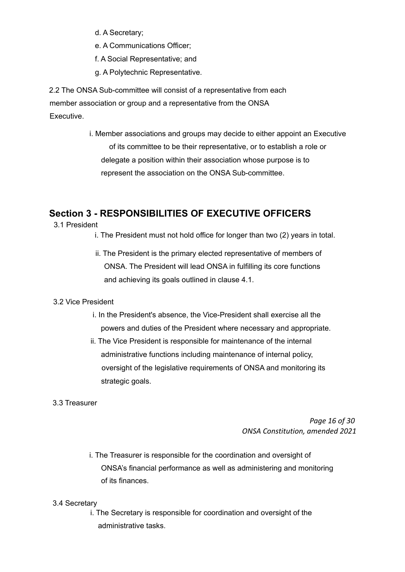- d. A Secretary;
- e. A Communications Officer;
- f. A Social Representative; and
- g. A Polytechnic Representative.

2.2 The ONSA Sub-committee will consist of a representative from each member association or group and a representative from the ONSA Executive.

> i. Member associations and groups may decide to either appoint an Executive of its committee to be their representative, or to establish a role or delegate a position within their association whose purpose is to represent the association on the ONSA Sub-committee.

# **Section 3 - RESPONSIBILITIES OF EXECUTIVE OFFICERS**

- 3.1 President
	- i. The President must not hold office for longer than two (2) years in total.
	- ii. The President is the primary elected representative of members of ONSA. The President will lead ONSA in fulfilling its core functions and achieving its goals outlined in clause 4.1.

#### 3.2 Vice President

- i. In the President's absence, the Vice-President shall exercise all the powers and duties of the President where necessary and appropriate.
- ii. The Vice President is responsible for maintenance of the internal administrative functions including maintenance of internal policy, oversight of the legislative requirements of ONSA and monitoring its strategic goals.
- 3.3 Treasurer

*Page 16 of 30 ONSA Constitution, amended 2021*

i. The Treasurer is responsible for the coordination and oversight of ONSA's financial performance as well as administering and monitoring of its finances.

#### 3.4 Secretary

i. The Secretary is responsible for coordination and oversight of the administrative tasks.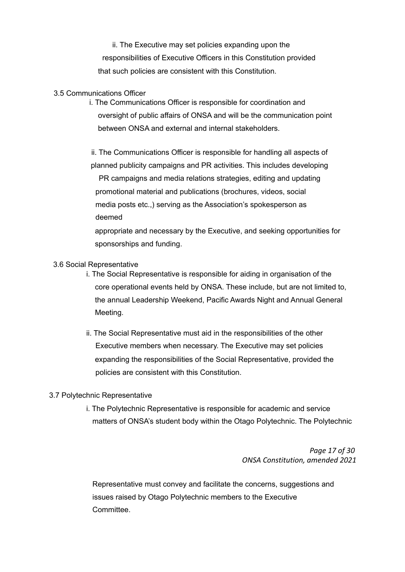ii. The Executive may set policies expanding upon the responsibilities of Executive Officers in this Constitution provided that such policies are consistent with this Constitution.

#### 3.5 Communications Officer

i. The Communications Officer is responsible for coordination and oversight of public affairs of ONSA and will be the communication point between ONSA and external and internal stakeholders.

ii. The Communications Officer is responsible for handling all aspects of planned publicity campaigns and PR activities. This includes developing PR campaigns and media relations strategies, editing and updating promotional material and publications (brochures, videos, social media posts etc.,) serving as the Association's spokesperson as deemed

appropriate and necessary by the Executive, and seeking opportunities for sponsorships and funding.

#### 3.6 Social Representative

- i. The Social Representative is responsible for aiding in organisation of the core operational events held by ONSA. These include, but are not limited to, the annual Leadership Weekend, Pacific Awards Night and Annual General Meeting.
- ii. The Social Representative must aid in the responsibilities of the other Executive members when necessary. The Executive may set policies expanding the responsibilities of the Social Representative, provided the policies are consistent with this Constitution.

#### 3.7 Polytechnic Representative

i. The Polytechnic Representative is responsible for academic and service matters of ONSA's student body within the Otago Polytechnic. The Polytechnic

> *Page 17 of 30 ONSA Constitution, amended 2021*

Representative must convey and facilitate the concerns, suggestions and issues raised by Otago Polytechnic members to the Executive Committee.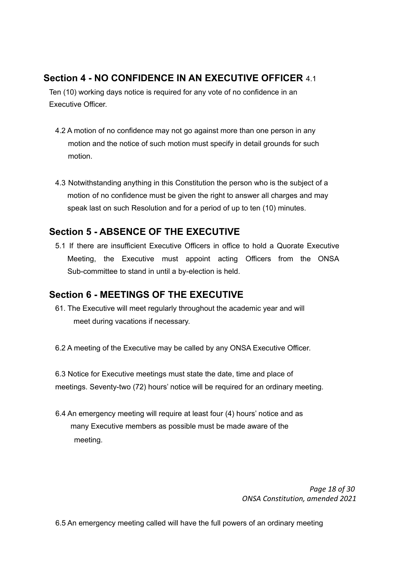# **Section 4 - NO CONFIDENCE IN AN EXECUTIVE OFFICER** 4.1

Ten (10) working days notice is required for any vote of no confidence in an Executive Officer.

- 4.2 A motion of no confidence may not go against more than one person in any motion and the notice of such motion must specify in detail grounds for such motion.
- 4.3 Notwithstanding anything in this Constitution the person who is the subject of a motion of no confidence must be given the right to answer all charges and may speak last on such Resolution and for a period of up to ten (10) minutes.

# **Section 5 - ABSENCE OF THE EXECUTIVE**

5.1 If there are insufficient Executive Officers in office to hold a Quorate Executive Meeting, the Executive must appoint acting Officers from the ONSA Sub-committee to stand in until a by-election is held.

# **Section 6 - MEETINGS OF THE EXECUTIVE**

- 61. The Executive will meet regularly throughout the academic year and will meet during vacations if necessary.
- 6.2 A meeting of the Executive may be called by any ONSA Executive Officer.

6.3 Notice for Executive meetings must state the date, time and place of meetings. Seventy-two (72) hours' notice will be required for an ordinary meeting.

6.4 An emergency meeting will require at least four (4) hours' notice and as many Executive members as possible must be made aware of the meeting.

> *Page 18 of 30 ONSA Constitution, amended 2021*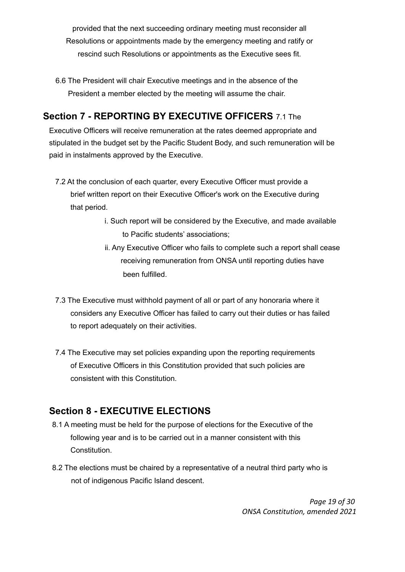provided that the next succeeding ordinary meeting must reconsider all Resolutions or appointments made by the emergency meeting and ratify or rescind such Resolutions or appointments as the Executive sees fit.

6.6 The President will chair Executive meetings and in the absence of the President a member elected by the meeting will assume the chair.

# **Section 7 - REPORTING BY EXECUTIVE OFFICERS** 7.1 The

Executive Officers will receive remuneration at the rates deemed appropriate and stipulated in the budget set by the Pacific Student Body, and such remuneration will be paid in instalments approved by the Executive.

- 7.2 At the conclusion of each quarter, every Executive Officer must provide a brief written report on their Executive Officer's work on the Executive during that period.
	- i. Such report will be considered by the Executive, and made available to Pacific students' associations;
	- ii. Any Executive Officer who fails to complete such a report shall cease receiving remuneration from ONSA until reporting duties have been fulfilled.
- 7.3 The Executive must withhold payment of all or part of any honoraria where it considers any Executive Officer has failed to carry out their duties or has failed to report adequately on their activities.
- 7.4 The Executive may set policies expanding upon the reporting requirements of Executive Officers in this Constitution provided that such policies are consistent with this Constitution.

# **Section 8 - EXECUTIVE ELECTIONS**

- 8.1 A meeting must be held for the purpose of elections for the Executive of the following year and is to be carried out in a manner consistent with this Constitution.
- 8.2 The elections must be chaired by a representative of a neutral third party who is not of indigenous Pacific Island descent.

*Page 19 of 30 ONSA Constitution, amended 2021*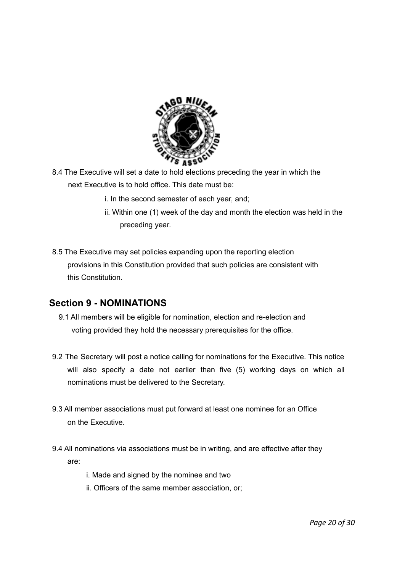

- 8.4 The Executive will set a date to hold elections preceding the year in which the next Executive is to hold office. This date must be:
	- i. In the second semester of each year, and;
	- ii. Within one (1) week of the day and month the election was held in the preceding year.
- 8.5 The Executive may set policies expanding upon the reporting election provisions in this Constitution provided that such policies are consistent with this Constitution.

# **Section 9 - NOMINATIONS**

- 9.1 All members will be eligible for nomination, election and re-election and voting provided they hold the necessary prerequisites for the office.
- 9.2 The Secretary will post a notice calling for nominations for the Executive. This notice will also specify a date not earlier than five (5) working days on which all nominations must be delivered to the Secretary.
- 9.3 All member associations must put forward at least one nominee for an Office on the Executive.
- 9.4 All nominations via associations must be in writing, and are effective after they are:
	- i. Made and signed by the nominee and two
	- ii. Officers of the same member association, or;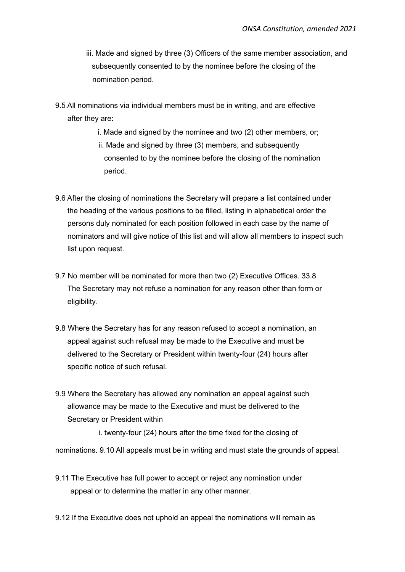- iii. Made and signed by three (3) Officers of the same member association, and subsequently consented to by the nominee before the closing of the nomination period.
- 9.5 All nominations via individual members must be in writing, and are effective after they are:
	- i. Made and signed by the nominee and two (2) other members, or; ii. Made and signed by three (3) members, and subsequently consented to by the nominee before the closing of the nomination period.
- 9.6 After the closing of nominations the Secretary will prepare a list contained under the heading of the various positions to be filled, listing in alphabetical order the persons duly nominated for each position followed in each case by the name of nominators and will give notice of this list and will allow all members to inspect such list upon request.
- 9.7 No member will be nominated for more than two (2) Executive Offices. 33.8 The Secretary may not refuse a nomination for any reason other than form or eligibility.
- 9.8 Where the Secretary has for any reason refused to accept a nomination, an appeal against such refusal may be made to the Executive and must be delivered to the Secretary or President within twenty-four (24) hours after specific notice of such refusal.
- 9.9 Where the Secretary has allowed any nomination an appeal against such allowance may be made to the Executive and must be delivered to the Secretary or President within

i. twenty-four (24) hours after the time fixed for the closing of

nominations. 9.10 All appeals must be in writing and must state the grounds of appeal.

- 9.11 The Executive has full power to accept or reject any nomination under appeal or to determine the matter in any other manner.
- 9.12 If the Executive does not uphold an appeal the nominations will remain as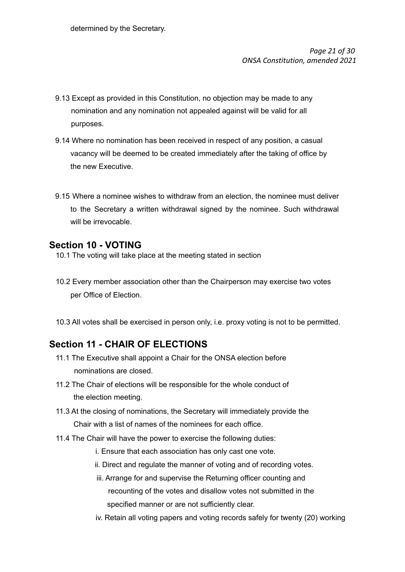*Page 21 of 30 ONSA Constitution, amended 2021*

- 9.13 Except as provided in this Constitution, no objection may be made to any nomination and any nomination not appealed against will be valid for all purposes.
- 9.14 Where no nomination has been received in respect of any position, a casual vacancy will be deemed to be created immediately after the taking of office by the new Executive.
- 9.15 Where a nominee wishes to withdraw from an election, the nominee must deliver to the Secretary a written withdrawal signed by the nominee. Such withdrawal will be irrevocable.

#### **Section 10 - VOTING**

- 10.1 The voting will take place at the meeting stated in section
- 10.2 Every member association other than the Chairperson may exercise two votes per Office of Election.
- 10.3 All votes shall be exercised in person only, i.e. proxy voting is not to be permitted.

# **Section 11 - CHAIR OF ELECTIONS**

- 11.1 The Executive shall appoint a Chair for the ONSA election before nominations are closed.
- 11.2 The Chair of elections will be responsible for the whole conduct of the election meeting.
- 11.3 At the closing of nominations, the Secretary will immediately provide the Chair with a list of names of the nominees for each office.
- 11.4 The Chair will have the power to exercise the following duties:
	- i. Ensure that each association has only cast one vote.
	- ii. Direct and regulate the manner of voting and of recording votes.
	- iii. Arrange for and supervise the Returning officer counting and recounting of the votes and disallow votes not submitted in the specified manner or are not sufficiently clear.
	- iv. Retain all voting papers and voting records safely for twenty (20) working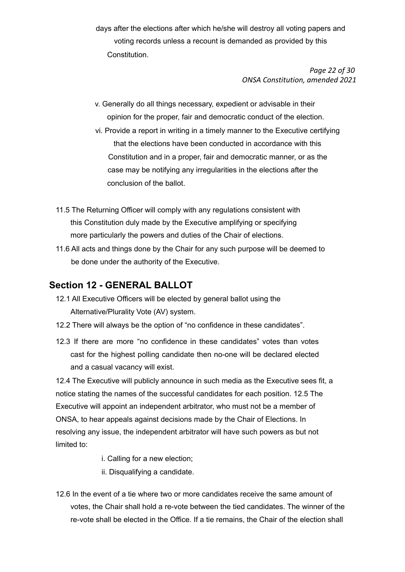days after the elections after which he/she will destroy all voting papers and voting records unless a recount is demanded as provided by this Constitution.

> *Page 22 of 30 ONSA Constitution, amended 2021*

- v. Generally do all things necessary, expedient or advisable in their opinion for the proper, fair and democratic conduct of the election.
- vi. Provide a report in writing in a timely manner to the Executive certifying that the elections have been conducted in accordance with this Constitution and in a proper, fair and democratic manner, or as the case may be notifying any irregularities in the elections after the conclusion of the ballot.
- 11.5 The Returning Officer will comply with any regulations consistent with this Constitution duly made by the Executive amplifying or specifying more particularly the powers and duties of the Chair of elections.
- 11.6 All acts and things done by the Chair for any such purpose will be deemed to be done under the authority of the Executive.

#### **Section 12 - GENERAL BALLOT**

- 12.1 All Executive Officers will be elected by general ballot using the Alternative/Plurality Vote (AV) system.
- 12.2 There will always be the option of "no confidence in these candidates".
- 12.3 If there are more "no confidence in these candidates" votes than votes cast for the highest polling candidate then no-one will be declared elected and a casual vacancy will exist.

12.4 The Executive will publicly announce in such media as the Executive sees fit, a notice stating the names of the successful candidates for each position. 12.5 The Executive will appoint an independent arbitrator, who must not be a member of ONSA, to hear appeals against decisions made by the Chair of Elections. In resolving any issue, the independent arbitrator will have such powers as but not limited to:

- i. Calling for a new election;
- ii. Disqualifying a candidate.
- 12.6 In the event of a tie where two or more candidates receive the same amount of votes, the Chair shall hold a re-vote between the tied candidates. The winner of the re-vote shall be elected in the Office. If a tie remains, the Chair of the election shall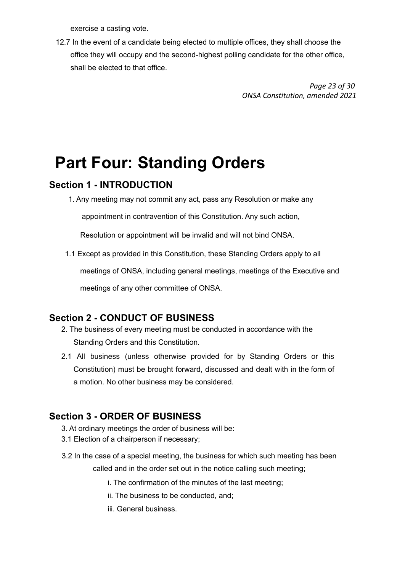exercise a casting vote.

12.7 In the event of a candidate being elected to multiple offices, they shall choose the office they will occupy and the second-highest polling candidate for the other office, shall be elected to that office.

> *Page 23 of 30 ONSA Constitution, amended 2021*

# **Part Four: Standing Orders**

#### **Section 1 - INTRODUCTION**

1. Any meeting may not commit any act, pass any Resolution or make any

appointment in contravention of this Constitution. Any such action,

Resolution or appointment will be invalid and will not bind ONSA.

1.1 Except as provided in this Constitution, these Standing Orders apply to all

meetings of ONSA, including general meetings, meetings of the Executive and

meetings of any other committee of ONSA.

# **Section 2 - CONDUCT OF BUSINESS**

- 2. The business of every meeting must be conducted in accordance with the Standing Orders and this Constitution.
- 2.1 All business (unless otherwise provided for by Standing Orders or this Constitution) must be brought forward, discussed and dealt with in the form of a motion. No other business may be considered.

# **Section 3 - ORDER OF BUSINESS**

- 3. At ordinary meetings the order of business will be:
- 3.1 Election of a chairperson if necessary;
- 3.2 In the case of a special meeting, the business for which such meeting has been called and in the order set out in the notice calling such meeting;
	- i. The confirmation of the minutes of the last meeting;
	- ii. The business to be conducted, and;
	- iii. General business.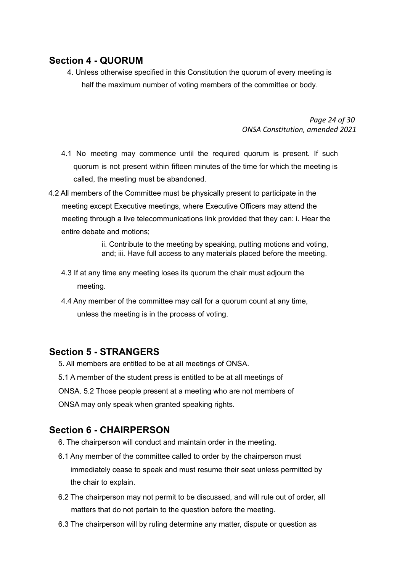### **Section 4 - QUORUM**

4. Unless otherwise specified in this Constitution the quorum of every meeting is half the maximum number of voting members of the committee or body.

> *Page 24 of 30 ONSA Constitution, amended 2021*

- 4.1 No meeting may commence until the required quorum is present. If such quorum is not present within fifteen minutes of the time for which the meeting is called, the meeting must be abandoned.
- 4.2 All members of the Committee must be physically present to participate in the meeting except Executive meetings, where Executive Officers may attend the meeting through a live telecommunications link provided that they can: i. Hear the entire debate and motions;

ii. Contribute to the meeting by speaking, putting motions and voting, and; iii. Have full access to any materials placed before the meeting.

- 4.3 If at any time any meeting loses its quorum the chair must adjourn the meeting.
- 4.4 Any member of the committee may call for a quorum count at any time, unless the meeting is in the process of voting.

#### **Section 5 - STRANGERS**

5. All members are entitled to be at all meetings of ONSA.

- 5.1 A member of the student press is entitled to be at all meetings of
- ONSA. 5.2 Those people present at a meeting who are not members of

ONSA may only speak when granted speaking rights.

# **Section 6 - CHAIRPERSON**

- 6. The chairperson will conduct and maintain order in the meeting.
- 6.1 Any member of the committee called to order by the chairperson must immediately cease to speak and must resume their seat unless permitted by the chair to explain.
- 6.2 The chairperson may not permit to be discussed, and will rule out of order, all matters that do not pertain to the question before the meeting.
- 6.3 The chairperson will by ruling determine any matter, dispute or question as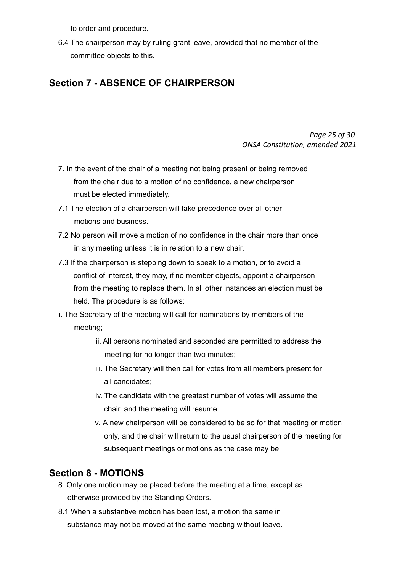to order and procedure.

6.4 The chairperson may by ruling grant leave, provided that no member of the committee objects to this.

# **Section 7 - ABSENCE OF CHAIRPERSON**

*Page 25 of 30 ONSA Constitution, amended 2021*

- 7. In the event of the chair of a meeting not being present or being removed from the chair due to a motion of no confidence, a new chairperson must be elected immediately.
- 7.1 The election of a chairperson will take precedence over all other motions and business.
- 7.2 No person will move a motion of no confidence in the chair more than once in any meeting unless it is in relation to a new chair.
- 7.3 If the chairperson is stepping down to speak to a motion, or to avoid a conflict of interest, they may, if no member objects, appoint a chairperson from the meeting to replace them. In all other instances an election must be held. The procedure is as follows:
- i. The Secretary of the meeting will call for nominations by members of the meeting;
	- ii. All persons nominated and seconded are permitted to address the meeting for no longer than two minutes;
	- iii. The Secretary will then call for votes from all members present for all candidates;
	- iv. The candidate with the greatest number of votes will assume the chair, and the meeting will resume.
	- v. A new chairperson will be considered to be so for that meeting or motion only, and the chair will return to the usual chairperson of the meeting for subsequent meetings or motions as the case may be.

# **Section 8 - MOTIONS**

- 8. Only one motion may be placed before the meeting at a time, except as otherwise provided by the Standing Orders.
- 8.1 When a substantive motion has been lost, a motion the same in substance may not be moved at the same meeting without leave.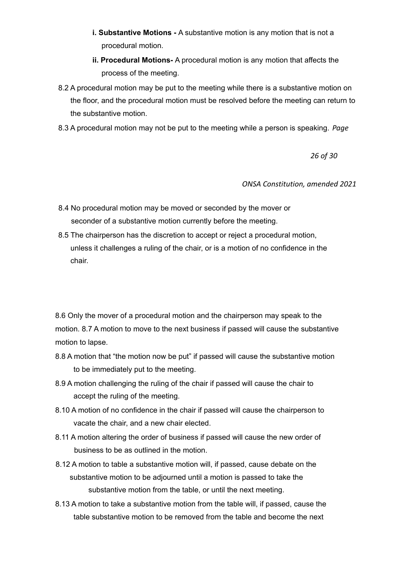- **i. Substantive Motions -** A substantive motion is any motion that is not a procedural motion.
- **ii. Procedural Motions-** A procedural motion is any motion that affects the process of the meeting.
- 8.2 A procedural motion may be put to the meeting while there is a substantive motion on the floor, and the procedural motion must be resolved before the meeting can return to the substantive motion.
- 8.3 A procedural motion may not be put to the meeting while a person is speaking. *Page*

*26 of 30*

*ONSA Constitution, amended 2021*

- 8.4 No procedural motion may be moved or seconded by the mover or seconder of a substantive motion currently before the meeting.
- 8.5 The chairperson has the discretion to accept or reject a procedural motion, unless it challenges a ruling of the chair, or is a motion of no confidence in the chair.

8.6 Only the mover of a procedural motion and the chairperson may speak to the motion. 8.7 A motion to move to the next business if passed will cause the substantive motion to lapse.

- 8.8 A motion that "the motion now be put" if passed will cause the substantive motion to be immediately put to the meeting.
- 8.9 A motion challenging the ruling of the chair if passed will cause the chair to accept the ruling of the meeting.
- 8.10 A motion of no confidence in the chair if passed will cause the chairperson to vacate the chair, and a new chair elected.
- 8.11 A motion altering the order of business if passed will cause the new order of business to be as outlined in the motion.
- 8.12 A motion to table a substantive motion will, if passed, cause debate on the substantive motion to be adjourned until a motion is passed to take the substantive motion from the table, or until the next meeting.
- 8.13 A motion to take a substantive motion from the table will, if passed, cause the table substantive motion to be removed from the table and become the next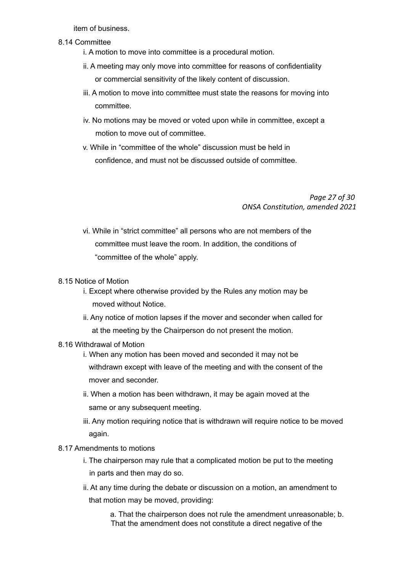item of business.

- 8.14 Committee
	- i. A motion to move into committee is a procedural motion.
	- ii. A meeting may only move into committee for reasons of confidentiality or commercial sensitivity of the likely content of discussion.
	- iii. A motion to move into committee must state the reasons for moving into committee.
	- iv. No motions may be moved or voted upon while in committee, except a motion to move out of committee.
	- v. While in "committee of the whole" discussion must be held in confidence, and must not be discussed outside of committee.

*Page 27 of 30 ONSA Constitution, amended 2021*

- vi. While in "strict committee" all persons who are not members of the committee must leave the room. In addition, the conditions of "committee of the whole" apply.
- 8.15 Notice of Motion
	- i. Except where otherwise provided by the Rules any motion may be moved without Notice.
	- ii. Any notice of motion lapses if the mover and seconder when called for at the meeting by the Chairperson do not present the motion.
- 8.16 Withdrawal of Motion
	- i. When any motion has been moved and seconded it may not be withdrawn except with leave of the meeting and with the consent of the mover and seconder.
	- ii. When a motion has been withdrawn, it may be again moved at the same or any subsequent meeting.
	- iii. Any motion requiring notice that is withdrawn will require notice to be moved again.
- 8.17 Amendments to motions
	- i. The chairperson may rule that a complicated motion be put to the meeting in parts and then may do so.
	- ii. At any time during the debate or discussion on a motion, an amendment to that motion may be moved, providing:

a. That the chairperson does not rule the amendment unreasonable; b. That the amendment does not constitute a direct negative of the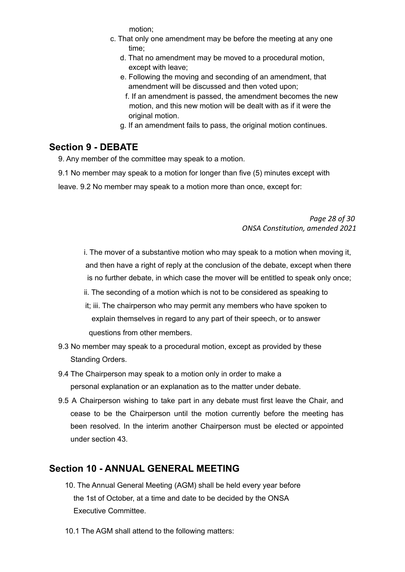motion;

- c. That only one amendment may be before the meeting at any one time;
	- d. That no amendment may be moved to a procedural motion, except with leave;
	- e. Following the moving and seconding of an amendment, that amendment will be discussed and then voted upon;
		- f. If an amendment is passed, the amendment becomes the new motion, and this new motion will be dealt with as if it were the original motion.
	- g. If an amendment fails to pass, the original motion continues.

# **Section 9 - DEBATE**

9. Any member of the committee may speak to a motion.

9.1 No member may speak to a motion for longer than five (5) minutes except with

leave. 9.2 No member may speak to a motion more than once, except for:

#### *Page 28 of 30 ONSA Constitution, amended 2021*

i. The mover of a substantive motion who may speak to a motion when moving it, and then have a right of reply at the conclusion of the debate, except when there is no further debate, in which case the mover will be entitled to speak only once;

- ii. The seconding of a motion which is not to be considered as speaking to
- it; iii. The chairperson who may permit any members who have spoken to explain themselves in regard to any part of their speech, or to answer questions from other members.
- 9.3 No member may speak to a procedural motion, except as provided by these Standing Orders.
- 9.4 The Chairperson may speak to a motion only in order to make a personal explanation or an explanation as to the matter under debate.
- 9.5 A Chairperson wishing to take part in any debate must first leave the Chair, and cease to be the Chairperson until the motion currently before the meeting has been resolved. In the interim another Chairperson must be elected or appointed under section 43.

# **Section 10 - ANNUAL GENERAL MEETING**

- 10. The Annual General Meeting (AGM) shall be held every year before the 1st of October, at a time and date to be decided by the ONSA Executive Committee.
- 10.1 The AGM shall attend to the following matters: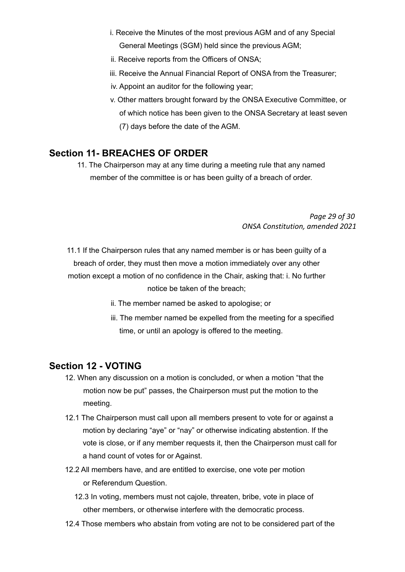- i. Receive the Minutes of the most previous AGM and of any Special General Meetings (SGM) held since the previous AGM;
- ii. Receive reports from the Officers of ONSA;
- iii. Receive the Annual Financial Report of ONSA from the Treasurer;
- iv. Appoint an auditor for the following year;
- v. Other matters brought forward by the ONSA Executive Committee, or of which notice has been given to the ONSA Secretary at least seven (7) days before the date of the AGM.

#### **Section 11- BREACHES OF ORDER**

11. The Chairperson may at any time during a meeting rule that any named member of the committee is or has been guilty of a breach of order.

> *Page 29 of 30 ONSA Constitution, amended 2021*

11.1 If the Chairperson rules that any named member is or has been guilty of a breach of order, they must then move a motion immediately over any other motion except a motion of no confidence in the Chair, asking that: i. No further notice be taken of the breach;

- ii. The member named be asked to apologise; or
- iii. The member named be expelled from the meeting for a specified time, or until an apology is offered to the meeting.

#### **Section 12 - VOTING**

- 12. When any discussion on a motion is concluded, or when a motion "that the motion now be put" passes, the Chairperson must put the motion to the meeting.
- 12.1 The Chairperson must call upon all members present to vote for or against a motion by declaring "aye" or "nay" or otherwise indicating abstention. If the vote is close, or if any member requests it, then the Chairperson must call for a hand count of votes for or Against.
- 12.2 All members have, and are entitled to exercise, one vote per motion or Referendum Question.
	- 12.3 In voting, members must not cajole, threaten, bribe, vote in place of other members, or otherwise interfere with the democratic process.
- 12.4 Those members who abstain from voting are not to be considered part of the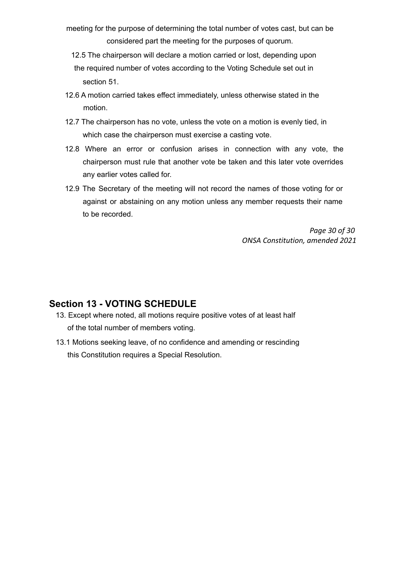- meeting for the purpose of determining the total number of votes cast, but can be considered part the meeting for the purposes of quorum.
	- 12.5 The chairperson will declare a motion carried or lost, depending upon the required number of votes according to the Voting Schedule set out in section 51.
- 12.6 A motion carried takes effect immediately, unless otherwise stated in the motion.
- 12.7 The chairperson has no vote, unless the vote on a motion is evenly tied, in which case the chairperson must exercise a casting vote.
- 12.8 Where an error or confusion arises in connection with any vote, the chairperson must rule that another vote be taken and this later vote overrides any earlier votes called for.
- 12.9 The Secretary of the meeting will not record the names of those voting for or against or abstaining on any motion unless any member requests their name to be recorded.

*Page 30 of 30 ONSA Constitution, amended 2021*

#### **Section 13 - VOTING SCHEDULE**

- 13. Except where noted, all motions require positive votes of at least half of the total number of members voting.
- 13.1 Motions seeking leave, of no confidence and amending or rescinding this Constitution requires a Special Resolution.